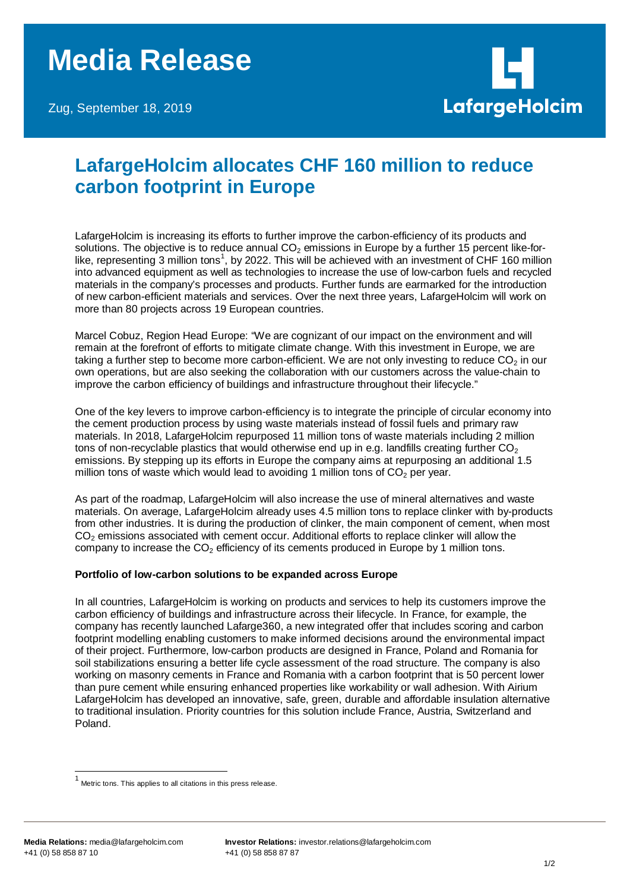Zug, September 18, 2019



## **LafargeHolcim allocates CHF 160 million to reduce carbon footprint in Europe**

LafargeHolcim is increasing its efforts to further improve the carbon-efficiency of its products and solutions. The objective is to reduce annual  $CO<sub>2</sub>$  emissions in Europe by a further 15 percent like-for-like, representing 3 million tons<sup>[1](#page-0-0)</sup>, by 2022. This will be achieved with an investment of CHF 160 million into advanced equipment as well as technologies to increase the use of low-carbon fuels and recycled materials in the company's processes and products. Further funds are earmarked for the introduction of new carbon-efficient materials and services. Over the next three years, LafargeHolcim will work on more than 80 projects across 19 European countries.

Marcel Cobuz, Region Head Europe: "We are cognizant of our impact on the environment and will remain at the forefront of efforts to mitigate climate change. With this investment in Europe, we are taking a further step to become more carbon-efficient. We are not only investing to reduce  $CO<sub>2</sub>$  in our own operations, but are also seeking the collaboration with our customers across the value-chain to improve the carbon efficiency of buildings and infrastructure throughout their lifecycle."

One of the key levers to improve carbon-efficiency is to integrate the principle of circular economy into the cement production process by using waste materials instead of fossil fuels and primary raw materials. In 2018, LafargeHolcim repurposed 11 million tons of waste materials including 2 million tons of non-recyclable plastics that would otherwise end up in e.g. landfills creating further  $CO<sub>2</sub>$ emissions. By stepping up its efforts in Europe the company aims at repurposing an additional 1.5 million tons of waste which would lead to avoiding 1 million tons of  $CO<sub>2</sub>$  per year.

As part of the roadmap, LafargeHolcim will also increase the use of mineral alternatives and waste materials. On average, LafargeHolcim already uses 4.5 million tons to replace clinker with by-products from other industries. It is during the production of clinker, the main component of cement, when most CO<sub>2</sub> emissions associated with cement occur. Additional efforts to replace clinker will allow the company to increase the  $CO<sub>2</sub>$  efficiency of its cements produced in Europe by 1 million tons.

## **Portfolio of low-carbon solutions to be expanded across Europe**

In all countries, LafargeHolcim is working on products and services to help its customers improve the carbon efficiency of buildings and infrastructure across their lifecycle. In France, for example, the company has recently launched Lafarge360, a new integrated offer that includes scoring and carbon footprint modelling enabling customers to make informed decisions around the environmental impact of their project. Furthermore, low-carbon products are designed in France, Poland and Romania for soil stabilizations ensuring a better life cycle assessment of the road structure. The company is also working on masonry cements in France and Romania with a carbon footprint that is 50 percent lower than pure cement while ensuring enhanced properties like workability or wall adhesion. With Airium LafargeHolcim has developed an innovative, safe, green, durable and affordable insulation alternative to traditional insulation. Priority countries for this solution include France, Austria, Switzerland and Poland.

<span id="page-0-0"></span> <sup>1</sup> Metric tons. This applies to all citations in this press release.